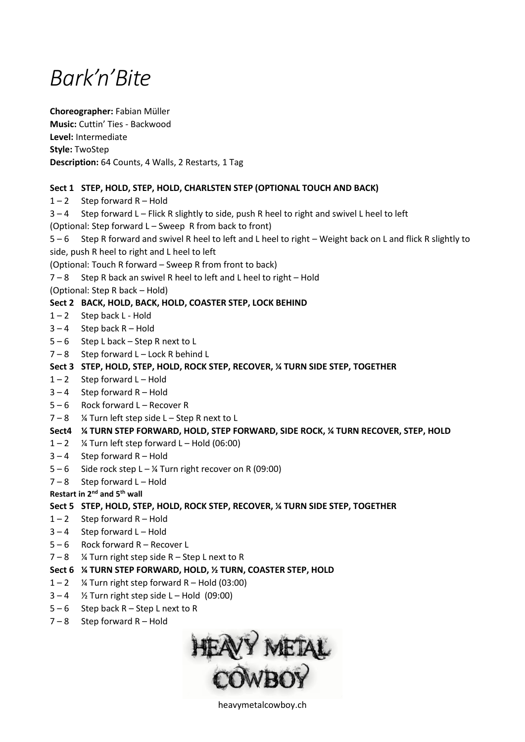# *Bark'n'Bite*

**Choreographer:** Fabian Müller **Music:** Cuttin' Ties - Backwood **Level:** Intermediate **Style:** TwoStep **Description:** 64 Counts, 4 Walls, 2 Restarts, 1 Tag

# **Sect 1 STEP, HOLD, STEP, HOLD, CHARLSTEN STEP (OPTIONAL TOUCH AND BACK)**

 $1 - 2$  Step forward R – Hold

 $3 - 4$  Step forward L – Flick R slightly to side, push R heel to right and swivel L heel to left

(Optional: Step forward L – Sweep R from back to front)

5 – 6 Step R forward and swivel R heel to left and L heel to right – Weight back on L and flick R slightly to side, push R heel to right and L heel to left

(Optional: Touch R forward – Sweep R from front to back)

- $7 8$  Step R back an swivel R heel to left and L heel to right Hold
- (Optional: Step R back Hold)

## **Sect 2 BACK, HOLD, BACK, HOLD, COASTER STEP, LOCK BEHIND**

- $1 2$  Step back L Hold
- $3 4$  Step back R Hold
- 5 6 Step L back Step R next to L
- $7 8$  Step forward L Lock R behind L
- **Sect 3 STEP, HOLD, STEP, HOLD, ROCK STEP, RECOVER, ¼ TURN SIDE STEP, TOGETHER**
- $1 2$  Step forward L Hold
- $3 4$  Step forward R Hold
- 5 6 Rock forward L Recover R
- $7 8$  % Turn left step side L Step R next to L

## **Sect4 ¼ TURN STEP FORWARD, HOLD, STEP FORWARD, SIDE ROCK, ¼ TURN RECOVER, STEP, HOLD**

- $1 2$  % Turn left step forward L Hold (06:00)
- $3 4$  Step forward R Hold
- $5 6$  Side rock step  $L \frac{1}{4}$  Turn right recover on R (09:00)
- $7 8$  Step forward L Hold

**Restart in 2nd and 5th wall**

## **Sect 5 STEP, HOLD, STEP, HOLD, ROCK STEP, RECOVER, ¼ TURN SIDE STEP, TOGETHER**

- $1 2$  Step forward R Hold
- $3 4$  Step forward L Hold
- 5 6 Rock forward R Recover L
- $7 8$  % Turn right step side R Step L next to R
- **Sect 6 ¼ TURN STEP FORWARD, HOLD, ½ TURN, COASTER STEP, HOLD**
- $1 2$  % Turn right step forward R Hold (03:00)
- $3 4$  % Turn right step side L Hold (09:00)
- $5 6$  Step back R Step L next to R
- $7 8$  Step forward R Hold



heavymetalcowboy.ch